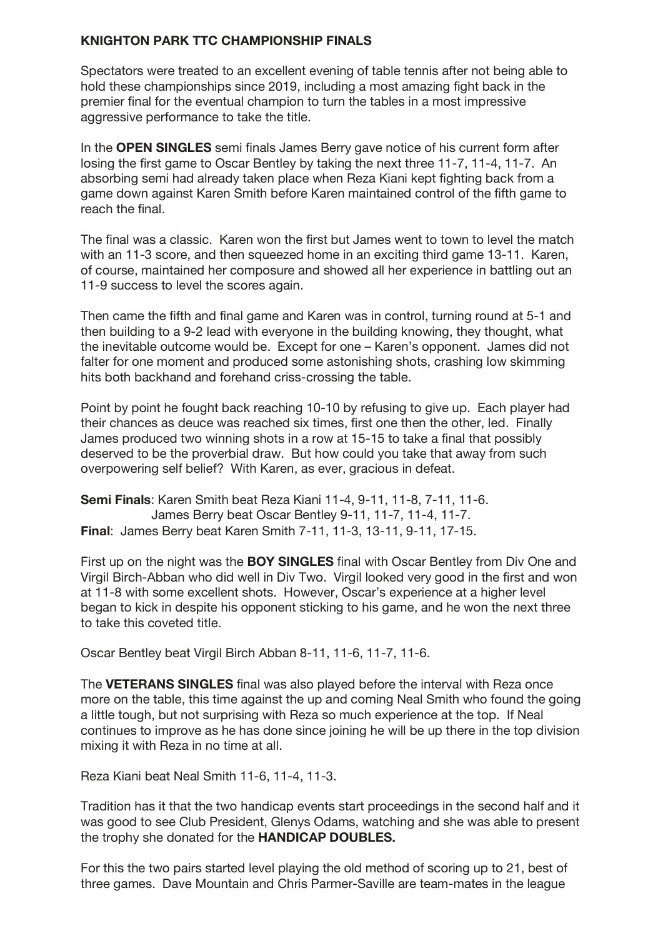## **KNIGHTON PARK TTC CHAMPIONSHIP FINALS**

Spectators were treated to an excellent evening of table tennis after not being able to hold these championships since 2019, including a most amazing fight back in the premier final for the eventual champion to turn the tables in a most impressive aggressive performance to take the title.

In the **OPEN SINGLES** semi finals James Berry gave notice of his current form after losing the first game to Oscar Bentley by taking the next three 11-7, 11-4, 11-7. An absorbing semi had already taken place when Reza Kiani kept fighting back from a game down against Karen Smith before Karen maintained control of the fifth game to reach the final.

The final was a classic. Karen won the first but James went to town to level the match with an 11-3 score, and then squeezed home in an exciting third game 13-11. Karen, of course, maintained her composure and showed all her experience in battling out an 11-9 success to level the scores again.

Then came the fifth and final game and Karen was in control, turning round at 5-1 and then building to a 9-2 lead with everyone in the building knowing, they thought, what the inevitable outcome would be. Except for one – Karen's opponent. James did not falter for one moment and produced some astonishing shots, crashing low skimming hits both backhand and forehand criss-crossing the table.

Point by point he fought back reaching 10-10 by refusing to give up. Each player had their chances as deuce was reached six times, first one then the other, led. Finally James produced two winning shots in a row at 15-15 to take a final that possibly deserved to be the proverbial draw. But how could you take that away from such overpowering self belief? With Karen, as ever, gracious in defeat.

**Semi Finals**: Karen Smith beat Reza Kiani 11-4, 9-11, 11-8, 7-11, 11-6. James Berry beat Oscar Bentley 9-11, 11-7, 11-4, 11-7. **Final**: James Berry beat Karen Smith 7-11, 11-3, 13-11, 9-11, 17-15.

First up on the night was the **BOY SINGLES** final with Oscar Bentley from Div One and Virgil Birch-Abban who did well in Div Two. Virgil looked very good in the first and won at 11-8 with some excellent shots. However, Oscar's experience at a higher level began to kick in despite his opponent sticking to his game, and he won the next three to take this coveted title.

Oscar Bentley beat Virgil Birch Abban 8-11, 11-6, 11-7, 11-6.

The **VETERANS SINGLES** final was also played before the interval with Reza once more on the table, this time against the up and coming Neal Smith who found the going a little tough, but not surprising with Reza so much experience at the top. If Neal continues to improve as he has done since joining he will be up there in the top division mixing it with Reza in no time at all.

Reza Kiani beat Neal Smith 11-6, 11-4, 11-3.

Tradition has it that the two handicap events start proceedings in the second half and it was good to see Club President, Glenys Odams, watching and she was able to present the trophy she donated for the **HANDICAP DOUBLES.**

For this the two pairs started level playing the old method of scoring up to 21, best of three games. Dave Mountain and Chris Parmer-Saville are team-mates in the league